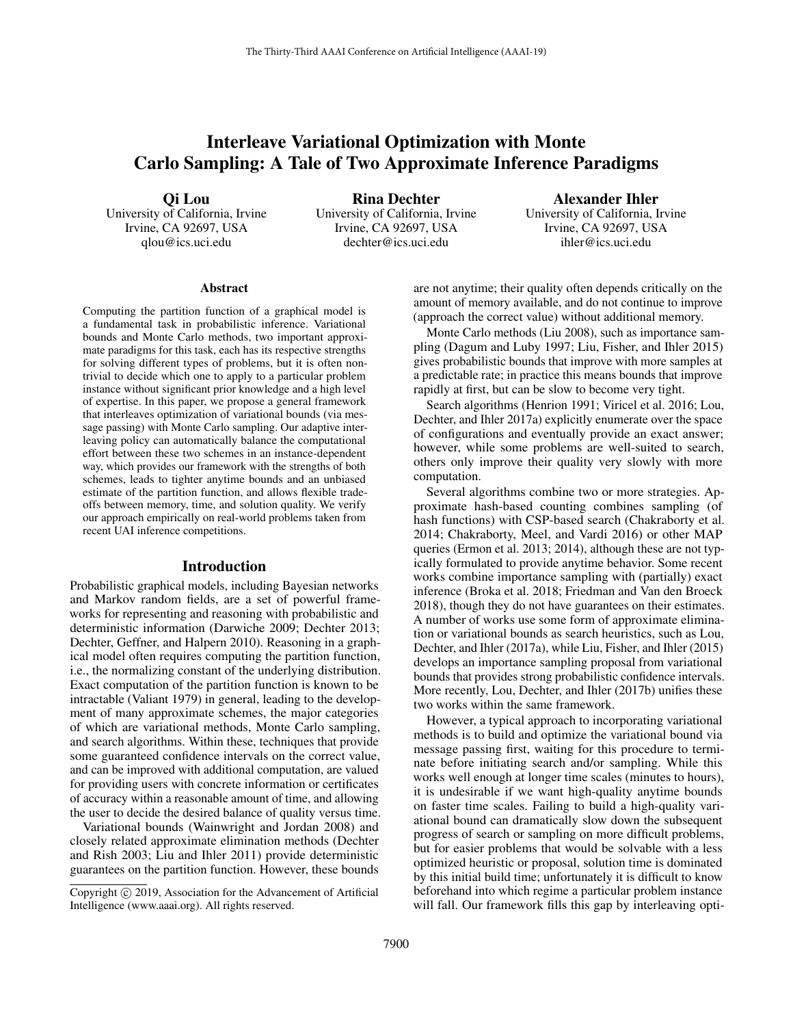# Interleave Variational Optimization with Monte Carlo Sampling: A Tale of Two Approximate Inference Paradigms

Qi Lou

University of California, Irvine Irvine, CA 92697, USA qlou@ics.uci.edu

Rina Dechter University of California, Irvine Irvine, CA 92697, USA dechter@ics.uci.edu

Alexander Ihler University of California, Irvine Irvine, CA 92697, USA ihler@ics.uci.edu

#### Abstract

Computing the partition function of a graphical model is a fundamental task in probabilistic inference. Variational bounds and Monte Carlo methods, two important approximate paradigms for this task, each has its respective strengths for solving different types of problems, but it is often nontrivial to decide which one to apply to a particular problem instance without significant prior knowledge and a high level of expertise. In this paper, we propose a general framework that interleaves optimization of variational bounds (via message passing) with Monte Carlo sampling. Our adaptive interleaving policy can automatically balance the computational effort between these two schemes in an instance-dependent way, which provides our framework with the strengths of both schemes, leads to tighter anytime bounds and an unbiased estimate of the partition function, and allows flexible tradeoffs between memory, time, and solution quality. We verify our approach empirically on real-world problems taken from recent UAI inference competitions.

#### Introduction

Probabilistic graphical models, including Bayesian networks and Markov random fields, are a set of powerful frameworks for representing and reasoning with probabilistic and deterministic information (Darwiche 2009; Dechter 2013; Dechter, Geffner, and Halpern 2010). Reasoning in a graphical model often requires computing the partition function, i.e., the normalizing constant of the underlying distribution. Exact computation of the partition function is known to be intractable (Valiant 1979) in general, leading to the development of many approximate schemes, the major categories of which are variational methods, Monte Carlo sampling, and search algorithms. Within these, techniques that provide some guaranteed confidence intervals on the correct value, and can be improved with additional computation, are valued for providing users with concrete information or certificates of accuracy within a reasonable amount of time, and allowing the user to decide the desired balance of quality versus time.

Variational bounds (Wainwright and Jordan 2008) and closely related approximate elimination methods (Dechter and Rish 2003; Liu and Ihler 2011) provide deterministic guarantees on the partition function. However, these bounds

are not anytime; their quality often depends critically on the amount of memory available, and do not continue to improve (approach the correct value) without additional memory.

Monte Carlo methods (Liu 2008), such as importance sampling (Dagum and Luby 1997; Liu, Fisher, and Ihler 2015) gives probabilistic bounds that improve with more samples at a predictable rate; in practice this means bounds that improve rapidly at first, but can be slow to become very tight.

Search algorithms (Henrion 1991; Viricel et al. 2016; Lou, Dechter, and Ihler 2017a) explicitly enumerate over the space of configurations and eventually provide an exact answer; however, while some problems are well-suited to search, others only improve their quality very slowly with more computation.

Several algorithms combine two or more strategies. Approximate hash-based counting combines sampling (of hash functions) with CSP-based search (Chakraborty et al. 2014; Chakraborty, Meel, and Vardi 2016) or other MAP queries (Ermon et al. 2013; 2014), although these are not typically formulated to provide anytime behavior. Some recent works combine importance sampling with (partially) exact inference (Broka et al. 2018; Friedman and Van den Broeck 2018), though they do not have guarantees on their estimates. A number of works use some form of approximate elimination or variational bounds as search heuristics, such as Lou, Dechter, and Ihler (2017a), while Liu, Fisher, and Ihler (2015) develops an importance sampling proposal from variational bounds that provides strong probabilistic confidence intervals. More recently, Lou, Dechter, and Ihler (2017b) unifies these two works within the same framework.

However, a typical approach to incorporating variational methods is to build and optimize the variational bound via message passing first, waiting for this procedure to terminate before initiating search and/or sampling. While this works well enough at longer time scales (minutes to hours), it is undesirable if we want high-quality anytime bounds on faster time scales. Failing to build a high-quality variational bound can dramatically slow down the subsequent progress of search or sampling on more difficult problems, but for easier problems that would be solvable with a less optimized heuristic or proposal, solution time is dominated by this initial build time; unfortunately it is difficult to know beforehand into which regime a particular problem instance will fall. Our framework fills this gap by interleaving opti-

Copyright © 2019, Association for the Advancement of Artificial Intelligence (www.aaai.org). All rights reserved.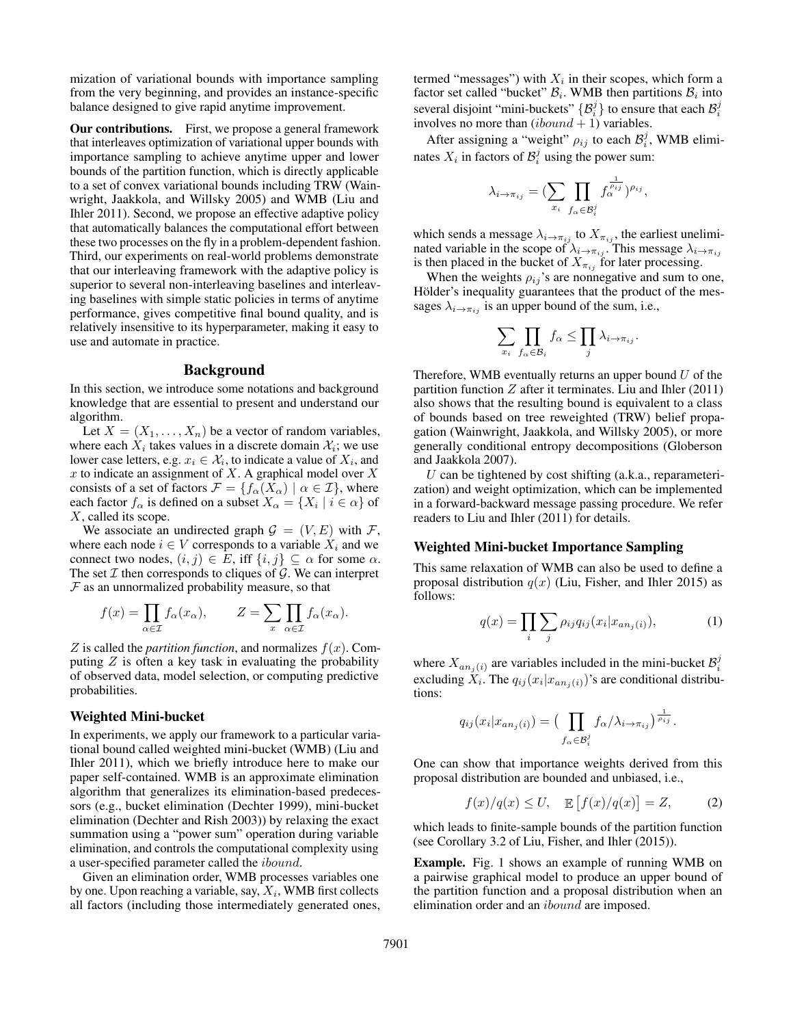mization of variational bounds with importance sampling from the very beginning, and provides an instance-specific balance designed to give rapid anytime improvement.

Our contributions. First, we propose a general framework that interleaves optimization of variational upper bounds with importance sampling to achieve anytime upper and lower bounds of the partition function, which is directly applicable to a set of convex variational bounds including TRW (Wainwright, Jaakkola, and Willsky 2005) and WMB (Liu and Ihler 2011). Second, we propose an effective adaptive policy that automatically balances the computational effort between these two processes on the fly in a problem-dependent fashion. Third, our experiments on real-world problems demonstrate that our interleaving framework with the adaptive policy is superior to several non-interleaving baselines and interleaving baselines with simple static policies in terms of anytime performance, gives competitive final bound quality, and is relatively insensitive to its hyperparameter, making it easy to use and automate in practice.

## Background

In this section, we introduce some notations and background knowledge that are essential to present and understand our algorithm.

Let  $X = (X_1, \ldots, X_n)$  be a vector of random variables, where each  $X_i$  takes values in a discrete domain  $\mathcal{X}_i$ ; we use lower case letters, e.g.  $x_i \in \mathcal{X}_i$ , to indicate a value of  $X_i$ , and x to indicate an assignment of  $X$ . A graphical model over  $X$ consists of a set of factors  $\mathcal{F} = \{f_\alpha(X_\alpha) \mid \alpha \in \mathcal{I}\}\,$ , where each factor  $f_\alpha$  is defined on a subset  $X_\alpha = \{X_i \mid i \in \alpha\}$  of X, called its scope.

We associate an undirected graph  $G = (V, E)$  with F, where each node  $i \in V$  corresponds to a variable  $X_i$  and we connect two nodes,  $(i, j) \in E$ , iff  $\{i, j\} \subseteq \alpha$  for some  $\alpha$ . The set  $\mathcal I$  then corresponds to cliques of  $\mathcal G$ . We can interpret  $F$  as an unnormalized probability measure, so that

$$
f(x) = \prod_{\alpha \in \mathcal{I}} f_{\alpha}(x_{\alpha}), \qquad Z = \sum_{x} \prod_{\alpha \in \mathcal{I}} f_{\alpha}(x_{\alpha}).
$$

 $Z$  is called the *partition function*, and normalizes  $f(x)$ . Computing  $Z$  is often a key task in evaluating the probability of observed data, model selection, or computing predictive probabilities.

## Weighted Mini-bucket

In experiments, we apply our framework to a particular variational bound called weighted mini-bucket (WMB) (Liu and Ihler 2011), which we briefly introduce here to make our paper self-contained. WMB is an approximate elimination algorithm that generalizes its elimination-based predecessors (e.g., bucket elimination (Dechter 1999), mini-bucket elimination (Dechter and Rish 2003)) by relaxing the exact summation using a "power sum" operation during variable elimination, and controls the computational complexity using a user-specified parameter called the ibound.

Given an elimination order, WMB processes variables one by one. Upon reaching a variable, say,  $X_i$ , WMB first collects all factors (including those intermediately generated ones,

termed "messages") with  $X_i$  in their scopes, which form a factor set called "bucket"  $B_i$ . WMB then partitions  $B_i$  into several disjoint "mini-buckets"  $\{\mathcal{B}_i^j\}$  to ensure that each  $\mathcal{B}_i^j$ involves no more than  $(ibound + 1)$  variables.

After assigning a "weight"  $\rho_{ij}$  to each  $\mathcal{B}_i^j$ , WMB eliminates  $X_i$  in factors of  $\mathcal{B}_i^j$  using the power sum:

$$
\lambda_{i \to \pi_{ij}} = \left( \sum_{x_i} \prod_{f_{\alpha} \in \mathcal{B}_i^j} f_{\alpha}^{\frac{1}{\rho_{ij}}} \right)^{\rho_{ij}},
$$

which sends a message  $\lambda_{i\to\pi_{ij}}$  to  $X_{\pi_{ij}}$ , the earliest uneliminated variable in the scope of  $\lambda_{i\to\pi_{ij}}$ . This message  $\lambda_{i\to\pi_{ij}}$ is then placed in the bucket of  $X_{\pi_{ij}}$  for later processing.

When the weights  $\rho_{ij}$ 's are nonnegative and sum to one, Hölder's inequality guarantees that the product of the messages  $\lambda_{i\to\pi_{ij}}$  is an upper bound of the sum, i.e.,

$$
\sum_{x_i} \prod_{f_\alpha \in \mathcal{B}_i} f_\alpha \leq \prod_j \lambda_{i \to \pi_{ij}}.
$$

Therefore, WMB eventually returns an upper bound  $U$  of the partition function  $Z$  after it terminates. Liu and Ihler  $(2011)$ also shows that the resulting bound is equivalent to a class of bounds based on tree reweighted (TRW) belief propagation (Wainwright, Jaakkola, and Willsky 2005), or more generally conditional entropy decompositions (Globerson and Jaakkola 2007).

U can be tightened by cost shifting  $(a.k.a., reparameteri$ zation) and weight optimization, which can be implemented in a forward-backward message passing procedure. We refer readers to Liu and Ihler (2011) for details.

## Weighted Mini-bucket Importance Sampling

This same relaxation of WMB can also be used to define a proposal distribution  $q(x)$  (Liu, Fisher, and Ihler 2015) as follows:

$$
q(x) = \prod_{i} \sum_{j} \rho_{ij} q_{ij}(x_i | x_{an_j(i)}),
$$
 (1)

where  $X_{an_j(i)}$  are variables included in the mini-bucket  $\mathcal{B}_i^j$ excluding  $X_i$ . The  $q_{ij}(x_i|x_{an_j(i)})$ 's are conditional distributions:

$$
q_{ij}(x_i|x_{an_j(i)}) = \left(\prod_{f_\alpha \in \mathcal{B}_i^j} f_\alpha/\lambda_{i \to \pi_{ij}}\right)^{\frac{1}{\rho_{ij}}}.
$$

One can show that importance weights derived from this proposal distribution are bounded and unbiased, i.e.,

$$
f(x)/q(x) \le U, \quad \mathbb{E}\left[f(x)/q(x)\right] = Z,\tag{2}
$$

which leads to finite-sample bounds of the partition function (see Corollary 3.2 of Liu, Fisher, and Ihler (2015)).

Example. Fig. 1 shows an example of running WMB on a pairwise graphical model to produce an upper bound of the partition function and a proposal distribution when an elimination order and an *ibound* are imposed.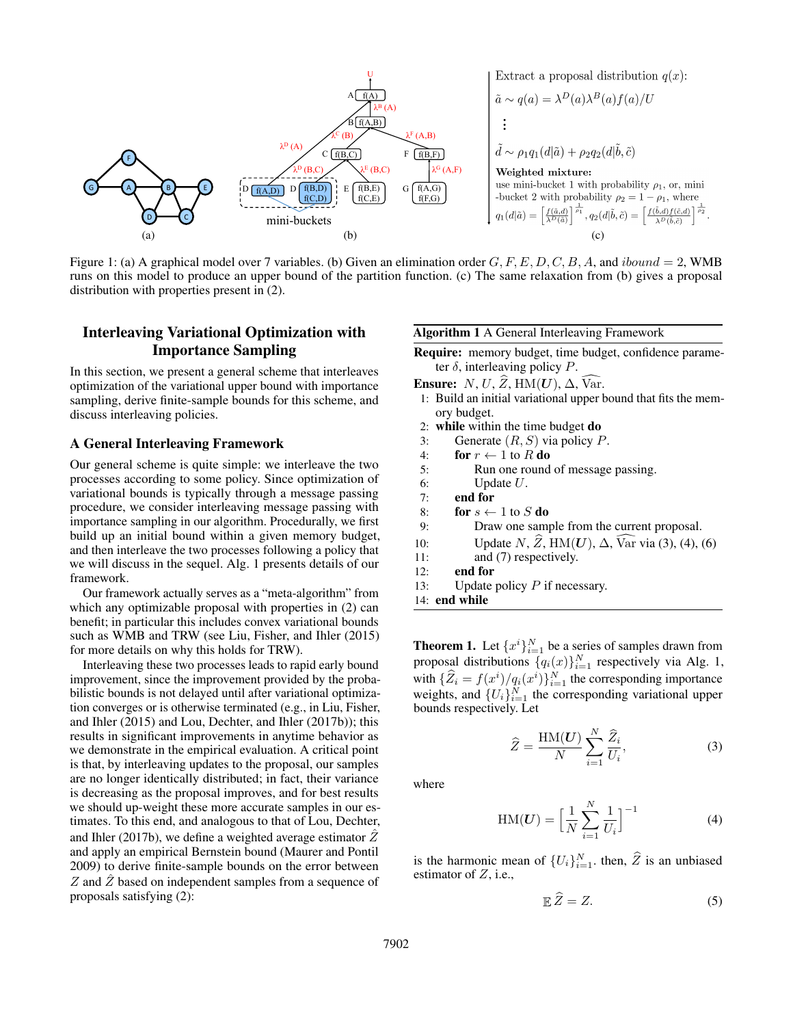| A                                                                         | U            |
|---------------------------------------------------------------------------|--------------|
| A                                                                         | $\hat{f}(A)$ |
| \n $\hat{a} \sim q(a) = \lambda^D(a)\lambda^B(a)f(a)/U$ \n                |              |
| \n $\hat{a} \sim q(a) = \lambda^D(a)\lambda^B(a)f(a)/U$ \n                |              |
| \n $\hat{a} \sim q(a) = \lambda^D(a)\lambda^B(a)f(a)/U$ \n                |              |
| \n $\hat{a} \sim q(a) = \lambda^D(a)\lambda^B(a)f(a)/U$ \n                |              |
| \n $\hat{a} \sim p_1q_1(d \tilde{a}) + p_2q_2(d \tilde{b}, \tilde{c})$ \n |              |
| \n $\hat{f}(A,B)$ \n                                                      |              |
| \n $\hat{f}(B,C)$ \n                                                      |              |
| \n $\hat{f}(B,D)$ \n                                                      |              |
| \n $\hat{f}(B,D)$ \n                                                      |              |
| \n $\hat{f}(B,D)$ \n                                                      |              |
| \n $\hat{f}(B,D)$ \n                                                      |              |
| \n $\hat{f}(B,D)$ \n                                                      |              |
| \n $\hat{f}(B,D)$ \n                                                      |              |
| \n $\hat{f}(B,D)$ \n                                                      |              |
| \n $\hat{f}(B,D)$ \n                                                      |              |
| \n $\hat{f}(B,D)$ \n                                                      |              |
| \n $\hat{f}(B,D)$ \n                                                      |              |
| \n $\hat{f}(B,D)$ \n                                                      |              |
| \n $\hat{f}(B,D)$ \n                                                      |              |
| \n $\hat{f}(B,D)$ \n                                                      |              |
| \n $\hat{f}(B,D)$ \n                                                      |              |
| \n $\hat{f}(B,D)$ \n                                                      |              |
| \n $\hat{f$                                                               |              |

Figure 1: (a) A graphical model over 7 variables. (b) Given an elimination order  $G, F, E, D, C, B, A$ , and  $ibound = 2$ , WMB runs on this model to produce an upper bound of the partition function. (c) The same relaxation from (b) gives a proposal distribution with properties present in (2).

## Interleaving Variational Optimization with Importance Sampling

In this section, we present a general scheme that interleaves optimization of the variational upper bound with importance sampling, derive finite-sample bounds for this scheme, and discuss interleaving policies.

#### A General Interleaving Framework

Our general scheme is quite simple: we interleave the two processes according to some policy. Since optimization of variational bounds is typically through a message passing procedure, we consider interleaving message passing with importance sampling in our algorithm. Procedurally, we first build up an initial bound within a given memory budget, and then interleave the two processes following a policy that we will discuss in the sequel. Alg. 1 presents details of our framework.

Our framework actually serves as a "meta-algorithm" from which any optimizable proposal with properties in  $(2)$  can benefit; in particular this includes convex variational bounds such as WMB and TRW (see Liu, Fisher, and Ihler (2015) for more details on why this holds for TRW).

Interleaving these two processes leads to rapid early bound improvement, since the improvement provided by the probabilistic bounds is not delayed until after variational optimization converges or is otherwise terminated (e.g., in Liu, Fisher, and Ihler (2015) and Lou, Dechter, and Ihler (2017b)); this results in significant improvements in anytime behavior as we demonstrate in the empirical evaluation. A critical point is that, by interleaving updates to the proposal, our samples are no longer identically distributed; in fact, their variance is decreasing as the proposal improves, and for best results we should up-weight these more accurate samples in our estimates. To this end, and analogous to that of Lou, Dechter, and Ihler (2017b), we define a weighted average estimator  $Z$ and apply an empirical Bernstein bound (Maurer and Pontil 2009) to derive finite-sample bounds on the error between Z and  $\hat{Z}$  based on independent samples from a sequence of proposals satisfying (2):

#### Algorithm 1 A General Interleaving Framework

Require: memory budget, time budget, confidence parameter  $\delta$ , interleaving policy P.

Ensure: N, U,  $\widehat{Z}$ , HM(U),  $\Delta$ , Var.

- 1: Build an initial variational upper bound that fits the memory budget.
- 2: while within the time budget do
- 3: Generate  $(R, S)$  via policy  $P$ .
- 4: for  $r \leftarrow 1$  to R do
- 5: Run one round of message passing.
- 6: Update  $U$ .<br>7: **end for**
- end for
- 8: for  $s \leftarrow 1$  to S do
- 9: Draw one sample from the current proposal.
- 10: Update  $N$ ,  $\widehat{Z}$ , HM(U),  $\Delta$ ,  $\widehat{Var}$  via (3), (4), (6)<br>11: and (7) respectively.
- and (7) respectively.
- 12: end for
- 13: Update policy  $P$  if necessary.
- 14: end while

**Theorem 1.** Let  $\{x^i\}_{i=1}^N$  be a series of samples drawn from proposal distributions  $\{q_i(x)\}_{i=1}^N$  respectively via Alg. 1, with  $\{\widehat{Z}_i = f(x^i)/q_i(x^i)\}_{i=1}^N$  the corresponding importance weights, and  $\{U_i\}_{i=1}^N$  the corresponding variational upper bounds respectively. Let

$$
\widehat{Z} = \frac{\text{HM}(U)}{N} \sum_{i=1}^{N} \frac{\widehat{Z}_i}{U_i},\tag{3}
$$

where

$$
HM(\boldsymbol{U}) = \left[\frac{1}{N} \sum_{i=1}^{N} \frac{1}{U_i}\right]^{-1} \tag{4}
$$

is the harmonic mean of  $\{U_i\}_{i=1}^N$ , then,  $\widehat{Z}$  is an unbiased estimator of  $Z$ , i.e.,

$$
\mathbb{E}\,\widehat{Z}=Z.\tag{5}
$$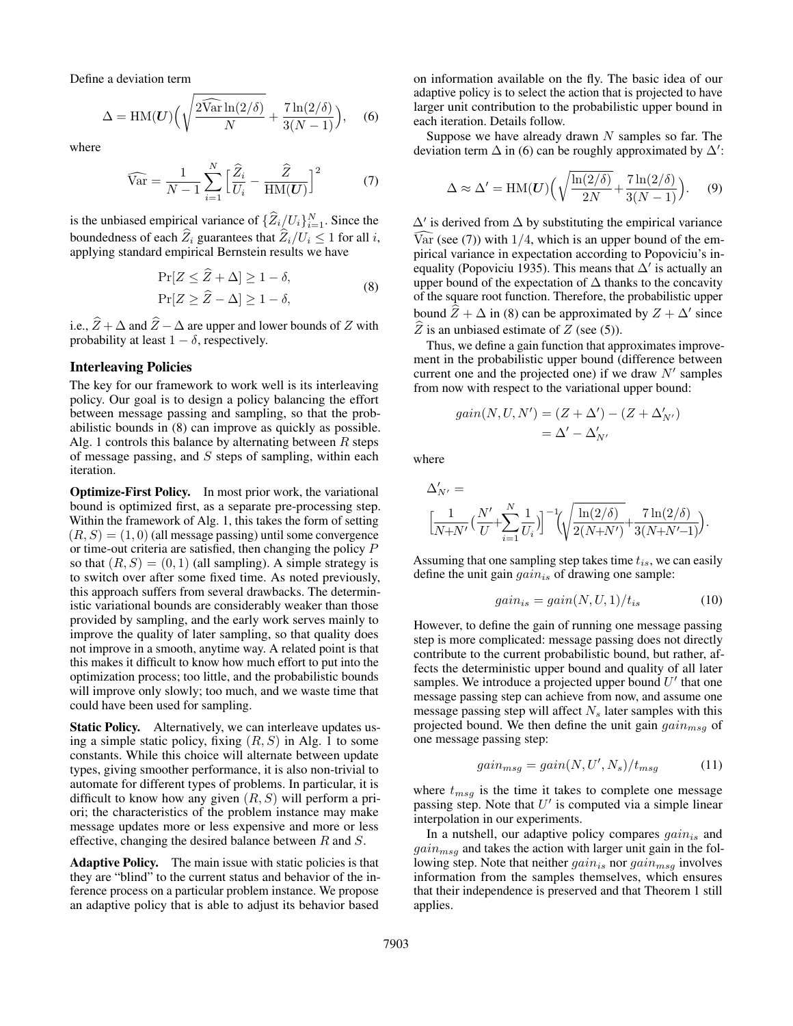Define a deviation term

$$
\Delta = \text{HM}(\boldsymbol{U}) \Big( \sqrt{\frac{2\widehat{\text{Var}} \ln(2/\delta)}{N}} + \frac{7\ln(2/\delta)}{3(N-1)} \Big), \quad (6)
$$

where

$$
\widehat{\text{Var}} = \frac{1}{N-1} \sum_{i=1}^{N} \left[ \frac{\widehat{Z}_i}{U_i} - \frac{\widehat{Z}}{\text{HM}(U)} \right]^2 \tag{7}
$$

is the unbiased empirical variance of  $\{\widehat{Z}_i/U_i\}_{i=1}^N$ . Since the boundedness of each  $\widehat{Z}_i$  guarantees that  $\widehat{Z}_i/U_i \leq 1$  for all i, applying standard empirical Bernstein results we have

$$
\Pr[Z \le Z + \Delta] \ge 1 - \delta,
$$
  
\n
$$
\Pr[Z \ge \hat{Z} - \Delta] \ge 1 - \delta,
$$
\n(8)

i.e.,  $\widehat{Z} + \Delta$  and  $\widehat{Z} - \Delta$  are upper and lower bounds of Z with probability at least  $1 - \delta$ , respectively.

#### Interleaving Policies

The key for our framework to work well is its interleaving policy. Our goal is to design a policy balancing the effort between message passing and sampling, so that the probabilistic bounds in (8) can improve as quickly as possible. Alg. 1 controls this balance by alternating between  $R$  steps of message passing, and  $S$  steps of sampling, within each iteration.

Optimize-First Policy. In most prior work, the variational bound is optimized first, as a separate pre-processing step. Within the framework of Alg. 1, this takes the form of setting  $(R, S) = (1, 0)$  (all message passing) until some convergence or time-out criteria are satisfied, then changing the policy P so that  $(R, S) = (0, 1)$  (all sampling). A simple strategy is to switch over after some fixed time. As noted previously, this approach suffers from several drawbacks. The deterministic variational bounds are considerably weaker than those provided by sampling, and the early work serves mainly to improve the quality of later sampling, so that quality does not improve in a smooth, anytime way. A related point is that this makes it difficult to know how much effort to put into the optimization process; too little, and the probabilistic bounds will improve only slowly; too much, and we waste time that could have been used for sampling.

**Static Policy.** Alternatively, we can interleave updates using a simple static policy, fixing  $(R, S)$  in Alg. 1 to some constants. While this choice will alternate between update types, giving smoother performance, it is also non-trivial to automate for different types of problems. In particular, it is difficult to know how any given  $(R, S)$  will perform a priori; the characteristics of the problem instance may make message updates more or less expensive and more or less effective, changing the desired balance between R and S.

Adaptive Policy. The main issue with static policies is that they are "blind" to the current status and behavior of the inference process on a particular problem instance. We propose an adaptive policy that is able to adjust its behavior based

on information available on the fly. The basic idea of our adaptive policy is to select the action that is projected to have larger unit contribution to the probabilistic upper bound in each iteration. Details follow.

Suppose we have already drawn  $N$  samples so far. The deviation term  $\Delta$  in (6) can be roughly approximated by  $\Delta'$ :

$$
\Delta \approx \Delta' = \text{HM}(\boldsymbol{U}) \Big( \sqrt{\frac{\ln(2/\delta)}{2N}} + \frac{7 \ln(2/\delta)}{3(N-1)} \Big). \tag{9}
$$

 $\Delta'$  is derived from  $\Delta$  by substituting the empirical variance Var (see (7)) with  $1/4$ , which is an upper bound of the empirical variance in expectation according to Popoviciu's inequality (Popoviciu 1935). This means that  $\Delta'$  is actually an upper bound of the expectation of  $\Delta$  thanks to the concavity of the square root function. Therefore, the probabilistic upper bound  $\hat{Z} + \Delta$  in (8) can be approximated by  $Z + \Delta'$  since  $\widehat{Z}$  is an unbiased estimate of  $Z$  (see (5)).

Thus, we define a gain function that approximates improvement in the probabilistic upper bound (difference between current one and the projected one) if we draw  $N'$  samples from now with respect to the variational upper bound:

$$
gain(N, U, N') = (Z + \Delta') - (Z + \Delta'_{N'})
$$
  
=  $\Delta' - \Delta'_{N'}$ 

where

$$
\begin{split} & \Delta'_{N'} = \\ & \Big[ \frac{1}{N+N'} \big(\frac{N'}{U} + \sum_{i=1}^N \frac{1}{U_i} \big) \Big]^{-1} \!\! \Big( \!\! \sqrt{\frac{\ln(2/\delta)}{2(N\!+\!N')}} \! + \! \frac{7 \ln(2/\delta)}{3(N\!+\!N'\!-\!1)} \! \Big). \end{split}
$$

Assuming that one sampling step takes time  $t_{is}$ , we can easily define the unit gain  $gain_{is}$  of drawing one sample:

$$
gain_{is} = gain(N, U, 1)/t_{is}
$$
\n<sup>(10)</sup>

However, to define the gain of running one message passing step is more complicated: message passing does not directly contribute to the current probabilistic bound, but rather, affects the deterministic upper bound and quality of all later samples. We introduce a projected upper bound  $U'$  that one message passing step can achieve from now, and assume one message passing step will affect  $N<sub>s</sub>$  later samples with this projected bound. We then define the unit gain  $gain_{msg}$  of one message passing step:

$$
gain_{msg} = gain(N, U', N_s)/t_{msg}
$$
 (11)

where  $t_{msg}$  is the time it takes to complete one message passing step. Note that  $U'$  is computed via a simple linear interpolation in our experiments.

In a nutshell, our adaptive policy compares  $gain_{is}$  and  $gain_{msg}$  and takes the action with larger unit gain in the following step. Note that neither  $gain_{is}$  nor  $gain_{msq}$  involves information from the samples themselves, which ensures that their independence is preserved and that Theorem 1 still applies.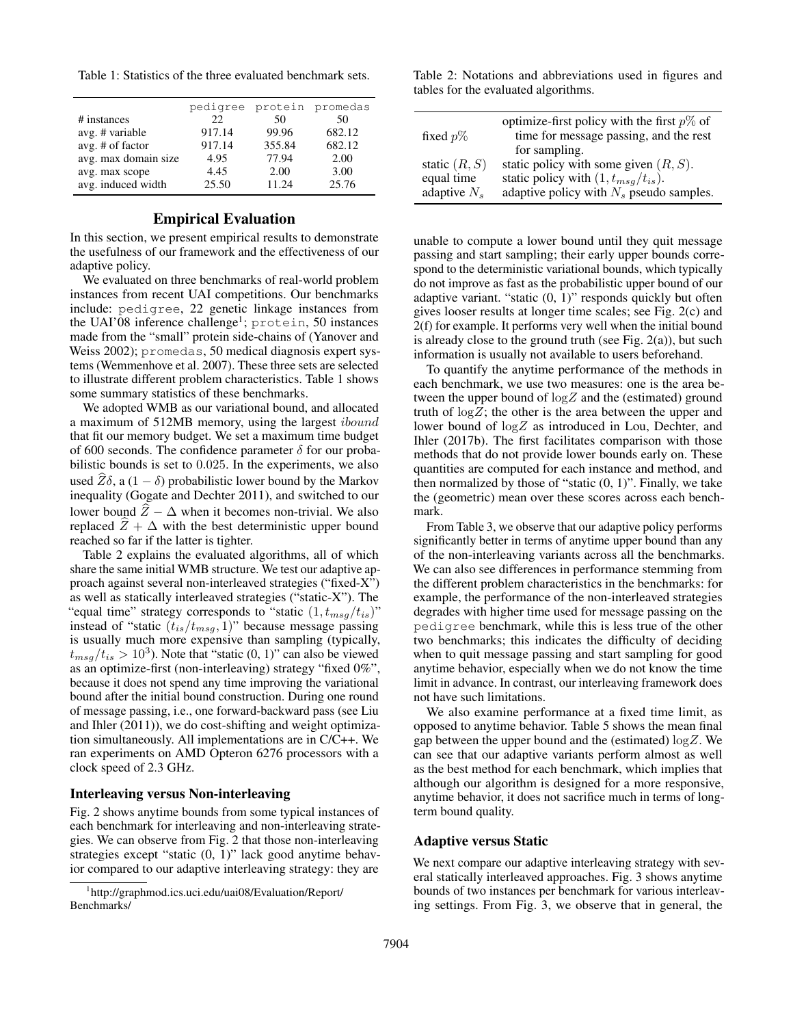Table 1: Statistics of the three evaluated benchmark sets.

|                      | pedigree | protein | promedas |
|----------------------|----------|---------|----------|
| # instances          | 22.      | 50      | 50       |
| avg. # variable      | 917.14   | 99.96   | 682.12   |
| avg. # of factor     | 917.14   | 355.84  | 682.12   |
| avg. max domain size | 4.95     | 77.94   | 2.00     |
| avg. max scope       | 4.45     | 2.00    | 3.00     |
| avg. induced width   | 25.50    | 11.24   | 25.76    |
|                      |          |         |          |

## Empirical Evaluation

In this section, we present empirical results to demonstrate the usefulness of our framework and the effectiveness of our adaptive policy.

We evaluated on three benchmarks of real-world problem instances from recent UAI competitions. Our benchmarks include: pedigree, 22 genetic linkage instances from the UAI'08 inference challenge<sup>1</sup>; protein, 50 instances made from the "small" protein side-chains of (Yanover and Weiss 2002); promedas, 50 medical diagnosis expert systems (Wemmenhove et al. 2007). These three sets are selected to illustrate different problem characteristics. Table 1 shows some summary statistics of these benchmarks.

We adopted WMB as our variational bound, and allocated a maximum of 512MB memory, using the largest ibound that fit our memory budget. We set a maximum time budget of 600 seconds. The confidence parameter  $\delta$  for our probabilistic bounds is set to 0.025. In the experiments, we also used  $Z\delta$ , a (1 −  $\delta$ ) probabilistic lower bound by the Markov inequality (Gogate and Dechter 2011), and switched to our lower bound  $Z - \Delta$  when it becomes non-trivial. We also replaced  $\overline{Z} + \Delta$  with the best deterministic upper bound reached so far if the latter is tighter.

Table 2 explains the evaluated algorithms, all of which share the same initial WMB structure. We test our adaptive approach against several non-interleaved strategies ("fixed-X") as well as statically interleaved strategies ("static-X"). The "equal time" strategy corresponds to "static  $(1, t_{msg}/t_{is})$ " instead of "static  $(t_{is}/t_{msg}, 1)$ " because message passing is usually much more expensive than sampling (typically,  $t_{msg}/t_{is} > 10^3$ ). Note that "static  $(0, 1)$ " can also be viewed as an optimize-first (non-interleaving) strategy "fixed 0%", because it does not spend any time improving the variational bound after the initial bound construction. During one round of message passing, i.e., one forward-backward pass (see Liu and Ihler (2011)), we do cost-shifting and weight optimization simultaneously. All implementations are in C/C++. We ran experiments on AMD Opteron 6276 processors with a clock speed of 2.3 GHz.

## Interleaving versus Non-interleaving

Fig. 2 shows anytime bounds from some typical instances of each benchmark for interleaving and non-interleaving strategies. We can observe from Fig. 2 that those non-interleaving strategies except "static (0, 1)" lack good anytime behavior compared to our adaptive interleaving strategy: they are

Table 2: Notations and abbreviations used in figures and tables for the evaluated algorithms.

| fixed $p\%$     | optimize-first policy with the first $p\%$ of<br>time for message passing, and the rest<br>for sampling. |
|-----------------|----------------------------------------------------------------------------------------------------------|
| static $(R, S)$ | static policy with some given $(R, S)$ .                                                                 |
| equal time      | static policy with $(1, t_{msg}/t_{is})$ .                                                               |
| adaptive $N_s$  | adaptive policy with $N_s$ pseudo samples.                                                               |

unable to compute a lower bound until they quit message passing and start sampling; their early upper bounds correspond to the deterministic variational bounds, which typically do not improve as fast as the probabilistic upper bound of our adaptive variant. "static (0, 1)" responds quickly but often gives looser results at longer time scales; see Fig. 2(c) and 2(f) for example. It performs very well when the initial bound is already close to the ground truth (see Fig.  $2(a)$ ), but such information is usually not available to users beforehand.

To quantify the anytime performance of the methods in each benchmark, we use two measures: one is the area between the upper bound of  $log Z$  and the (estimated) ground truth of  $log Z$ ; the other is the area between the upper and lower bound of logZ as introduced in Lou, Dechter, and Ihler (2017b). The first facilitates comparison with those methods that do not provide lower bounds early on. These quantities are computed for each instance and method, and then normalized by those of "static  $(0, 1)$ ". Finally, we take the (geometric) mean over these scores across each benchmark.

From Table 3, we observe that our adaptive policy performs significantly better in terms of anytime upper bound than any of the non-interleaving variants across all the benchmarks. We can also see differences in performance stemming from the different problem characteristics in the benchmarks: for example, the performance of the non-interleaved strategies degrades with higher time used for message passing on the pedigree benchmark, while this is less true of the other two benchmarks; this indicates the difficulty of deciding when to quit message passing and start sampling for good anytime behavior, especially when we do not know the time limit in advance. In contrast, our interleaving framework does not have such limitations.

We also examine performance at a fixed time limit, as opposed to anytime behavior. Table 5 shows the mean final gap between the upper bound and the (estimated)  $\log Z$ . We can see that our adaptive variants perform almost as well as the best method for each benchmark, which implies that although our algorithm is designed for a more responsive, anytime behavior, it does not sacrifice much in terms of longterm bound quality.

#### Adaptive versus Static

We next compare our adaptive interleaving strategy with several statically interleaved approaches. Fig. 3 shows anytime bounds of two instances per benchmark for various interleaving settings. From Fig. 3, we observe that in general, the

<sup>1</sup> http://graphmod.ics.uci.edu/uai08/Evaluation/Report/ Benchmarks/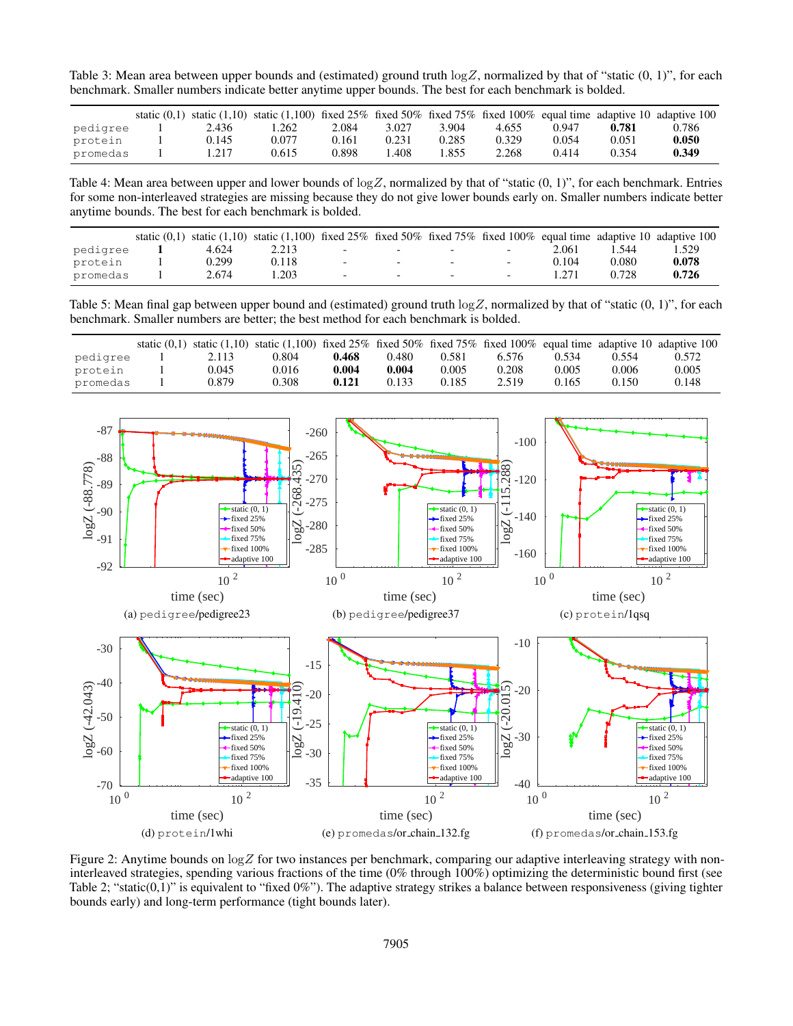Table 3: Mean area between upper bounds and (estimated) ground truth  $\log Z$ , normalized by that of "static  $(0, 1)$ ", for each benchmark. Smaller numbers indicate better anytime upper bounds. The best for each benchmark is bolded.

|          |       | static (0,1) static (1,10) static (1,100) fixed 25% fixed 50% fixed 75% fixed 100% equal time adaptive 10 adaptive 100 |       |                 |       |       |       |       |       |
|----------|-------|------------------------------------------------------------------------------------------------------------------------|-------|-----------------|-------|-------|-------|-------|-------|
| pedigree | 2.436 | .262                                                                                                                   | 2.084 | 3.027           | 3.904 | 4.655 | 0.947 | 0.781 | 0.786 |
| protein  | 0.145 | 0.077                                                                                                                  | 0.161 | 0.231           | 0.285 | 0.329 | 0.054 | 0.051 | 0.050 |
| promedas | 1.217 | 0.615                                                                                                                  | 0.898 | $^{\circ}$ .408 | 1.855 | 2.268 | 0.414 | 0.354 | 0.349 |

Table 4: Mean area between upper and lower bounds of  $\log Z$ , normalized by that of "static  $(0, 1)$ ", for each benchmark. Entries for some non-interleaved strategies are missing because they do not give lower bounds early on. Smaller numbers indicate better anytime bounds. The best for each benchmark is bolded.

|          |       | static (0,1) static (1,10) static (1,100) fixed 25% fixed 50% fixed 75% fixed 100% equal time adaptive 10 adaptive 100 |                          |                            |        |                          |       |       |       |
|----------|-------|------------------------------------------------------------------------------------------------------------------------|--------------------------|----------------------------|--------|--------------------------|-------|-------|-------|
| pedigree | 4.624 | 2.213                                                                                                                  | <b>Service</b>           | and the state of the state | $\sim$ | $\overline{\phantom{a}}$ | 2.061 | 1.544 | .529  |
| protein  | 0.299 | 0.118                                                                                                                  | $\overline{\phantom{0}}$ |                            |        | $\overline{\phantom{0}}$ | 0.104 | 0.080 | 0.078 |
| promedas | 2.674 | .203                                                                                                                   | $\overline{\phantom{0}}$ |                            |        | $\overline{\phantom{0}}$ |       | 0.728 | 0.726 |

Table 5: Mean final gap between upper bound and (estimated) ground truth  $\log Z$ , normalized by that of "static  $(0, 1)$ ", for each benchmark. Smaller numbers are better; the best method for each benchmark is bolded.

|          |       | static (0,1) static (1,10) static (1,100) fixed 25% fixed 50% fixed 75% fixed 100% equal time adaptive 10 adaptive 100 |       |       |       |       |       |       |       |
|----------|-------|------------------------------------------------------------------------------------------------------------------------|-------|-------|-------|-------|-------|-------|-------|
| pedigree | 2.113 | 0.804                                                                                                                  | 0.468 | 0.480 | 0.581 | 6.576 | 0.534 | 0.554 | 0.572 |
| protein  | 0.045 | 0.016                                                                                                                  | 0.004 | 0.004 | 0.005 | 0.208 | 0.005 | 0.006 | 0.005 |
| promedas | 0.879 | 0.308                                                                                                                  | 0.121 | 0.133 | 0.185 | 2.519 | 0.165 | 0.150 | 0.148 |



Figure 2: Anytime bounds on  $\log Z$  for two instances per benchmark, comparing our adaptive interleaving strategy with noninterleaved strategies, spending various fractions of the time (0% through 100%) optimizing the deterministic bound first (see Table 2; "static(0,1)" is equivalent to "fixed  $0\%$ "). The adaptive strategy strikes a balance between responsiveness (giving tighter bounds early) and long-term performance (tight bounds later).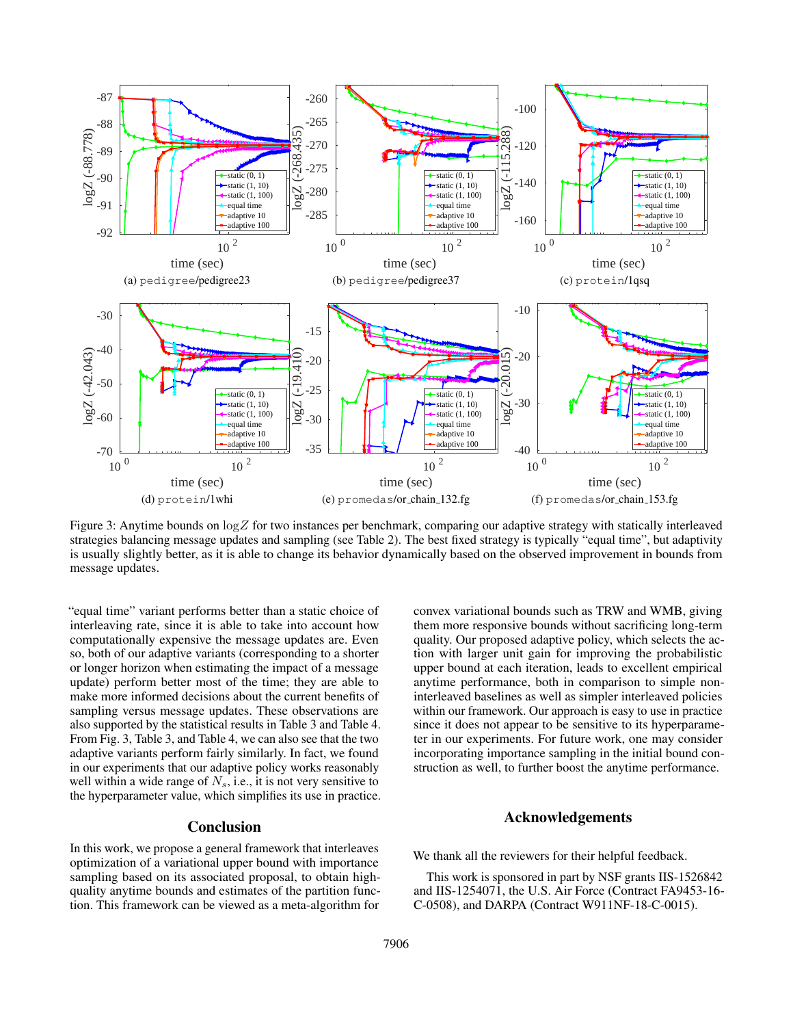

Figure 3: Anytime bounds on  $\log Z$  for two instances per benchmark, comparing our adaptive strategy with statically interleaved strategies balancing message updates and sampling (see Table 2). The best fixed strategy is typically "equal time", but adaptivity is usually slightly better, as it is able to change its behavior dynamically based on the observed improvement in bounds from message updates.

"equal time" variant performs better than a static choice of interleaving rate, since it is able to take into account how computationally expensive the message updates are. Even so, both of our adaptive variants (corresponding to a shorter or longer horizon when estimating the impact of a message update) perform better most of the time; they are able to make more informed decisions about the current benefits of sampling versus message updates. These observations are also supported by the statistical results in Table 3 and Table 4. From Fig. 3, Table 3, and Table 4, we can also see that the two adaptive variants perform fairly similarly. In fact, we found in our experiments that our adaptive policy works reasonably well within a wide range of  $N_s$ , i.e., it is not very sensitive to the hyperparameter value, which simplifies its use in practice.

## Conclusion

In this work, we propose a general framework that interleaves optimization of a variational upper bound with importance sampling based on its associated proposal, to obtain highquality anytime bounds and estimates of the partition function. This framework can be viewed as a meta-algorithm for

convex variational bounds such as TRW and WMB, giving them more responsive bounds without sacrificing long-term quality. Our proposed adaptive policy, which selects the action with larger unit gain for improving the probabilistic upper bound at each iteration, leads to excellent empirical anytime performance, both in comparison to simple noninterleaved baselines as well as simpler interleaved policies within our framework. Our approach is easy to use in practice since it does not appear to be sensitive to its hyperparameter in our experiments. For future work, one may consider incorporating importance sampling in the initial bound construction as well, to further boost the anytime performance.

## Acknowledgements

We thank all the reviewers for their helpful feedback.

This work is sponsored in part by NSF grants IIS-1526842 and IIS-1254071, the U.S. Air Force (Contract FA9453-16- C-0508), and DARPA (Contract W911NF-18-C-0015).